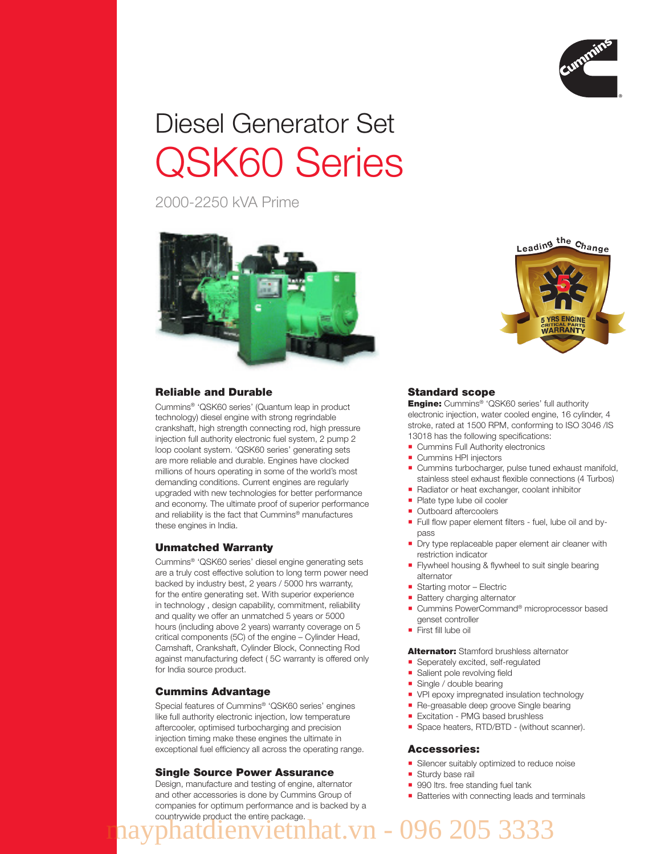

# Diesel Generator Set QSK60 Series

2000-2250 kVA Prime



## Reliable and Durable

Cummins® 'QSK60 series' (Quantum leap in product technology) diesel engine with strong regrindable crankshaft, high strength connecting rod, high pressure injection full authority electronic fuel system, 2 pump 2 loop coolant system. 'QSK60 series' generating sets are more reliable and durable. Engines have clocked millions of hours operating in some of the world's most demanding conditions. Current engines are regularly upgraded with new technologies for better performance and economy. The ultimate proof of superior performance and reliability is the fact that Cummins® manufactures these engines in India.

## Unmatched Warranty

Cummins® 'QSK60 series' diesel engine generating sets are a truly cost effective solution to long term power need backed by industry best, 2 years / 5000 hrs warranty, for the entire generating set. With superior experience in technology , design capability, commitment, reliability and quality we offer an unmatched 5 years or 5000 hours (including above 2 years) warranty coverage on 5 critical components (5C) of the engine – Cylinder Head, Camshaft, Crankshaft, Cylinder Block, Connecting Rod against manufacturing defect ( 5C warranty is offered only for India source product.

## Cummins Advantage

Special features of Cummins® 'QSK60 series' engines like full authority electronic injection, low temperature aftercooler, optimised turbocharging and precision injection timing make these engines the ultimate in exceptional fuel efficiency all across the operating range.

## Single Source Power Assurance

Design, manufacture and testing of engine, alternator and other accessories is done by Cummins Group of companies for optimum performance and is backed by a countrywide product the entire package.



## Standard scope

**Engine:** Cummins® 'QSK60 series' full authority electronic injection, water cooled engine, 16 cylinder, 4 stroke, rated at 1500 RPM, conforming to ISO 3046 /IS 13018 has the following specifications:

- **Cummins Full Authority electronics**
- **Cummins HPI injectors**
- Cummins turbocharger, pulse tuned exhaust manifold, stainless steel exhaust flexible connections (4 Turbos)
- Radiator or heat exchanger, coolant inhibitor
- Plate type lube oil cooler
- **Outboard aftercoolers**
- Full flow paper element filters fuel, lube oil and bypass
- **Dry type replaceable paper element air cleaner with** restriction indicator
- **Fi** Flywheel housing & flywheel to suit single bearing alternator
- Starting motor Electric
- Battery charging alternator
- Cummins PowerCommand<sup>®</sup> microprocessor based genset controller
- First fill lube oil

### **Alternator:** Stamford brushless alternator

- Seperately excited, self-regulated
- **Salient pole revolving field**
- Single / double bearing
- VPI epoxy impregnated insulation technology
- Re-greasable deep groove Single bearing
- **Excitation PMG based brushless**
- Space heaters, RTD/BTD (without scanner).

### Accessories:

- Silencer suitably optimized to reduce noise
- Sturdy base rail
- 990 ltrs. free standing fuel tank
- **Batteries with connecting leads and terminals**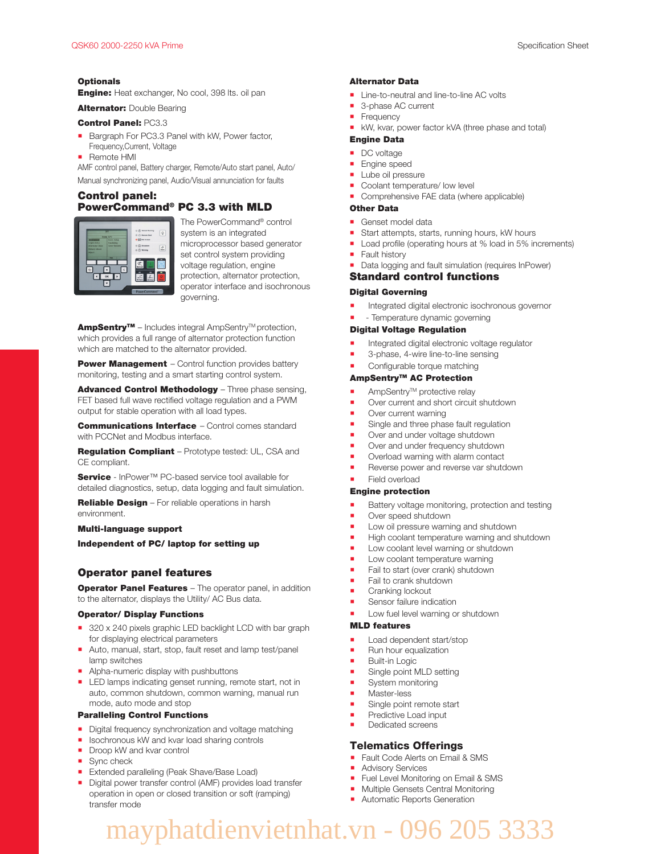#### **Optionals**

**Engine:** Heat exchanger, No cool, 398 lts. oil pan

**Alternator: Double Bearing** 

#### Control Panel: PC3.3

- Bargraph For PC3.3 Panel with kW, Power factor,
- Frequency,Current, Voltage ■ Remote HMI

AMF control panel, Battery charger, Remote/Auto start panel, Auto/ Manual synchronizing panel, Audio/Visual annunciation for faults

## Control panel: PowerCommand® PC 3.3 with MLD



The PowerCommand® control system is an integrated microprocessor based generator set control system providing voltage regulation, engine protection, alternator protection, operator interface and isochronous governing.

AmpSentry<sup>™</sup> – Includes integral AmpSentry<sup>™</sup> protection, which provides a full range of alternator protection function which are matched to the alternator provided.

Power Management - Control function provides battery monitoring, testing and a smart starting control system.

Advanced Control Methodology - Three phase sensing, FET based full wave rectified voltage regulation and a PWM output for stable operation with all load types.

**Communications Interface** - Control comes standard with PCCNet and Modbus interface

Regulation Compliant – Prototype tested: UL, CSA and CE compliant.

Service - InPower™ PC-based service tool available for detailed diagnostics, setup, data logging and fault simulation.

Reliable Design – For reliable operations in harsh environment.

#### Multi-language support

Independent of PC/ laptop for setting up

## Operator panel features

**Operator Panel Features** - The operator panel, in addition to the alternator, displays the Utility/ AC Bus data.

#### Operator/ Display Functions

- 320 x 240 pixels graphic LED backlight LCD with bar graph for displaying electrical parameters
- Auto, manual, start, stop, fault reset and lamp test/panel lamp switches
- Alpha-numeric display with pushbuttons
- **EXTED** lamps indicating genset running, remote start, not in auto, common shutdown, common warning, manual run mode, auto mode and stop

### Paralleling Control Functions

- Digital frequency synchronization and voltage matching
- Isochronous kW and kvar load sharing controls
- Droop kW and kvar control
- Sync check
- Extended paralleling (Peak Shave/Base Load)
- Digital power transfer control (AMF) provides load transfer operation in open or closed transition or soft (ramping) transfer mode

#### Alternator Data

- Line-to-neutral and line-to-line AC volts
- 3-phase AC current
- **Frequency**
- **KW, kvar, power factor kVA (three phase and total)**
- Engine Data
- DC voltage
- **Engine speed**
- **Lube oil pressure**
- Coolant temperature/ low level
- Comprehensive FAE data (where applicable)

#### Other Data

- Genset model data
- Start attempts, starts, running hours, kW hours
- Load profile (operating hours at % load in 5% increments)
- **Fault history**
- Data logging and fault simulation (requires InPower)

## Standard control functions

### Digital Governing

- Integrated digital electronic isochronous governor
- Temperature dynamic governing

#### Digital Voltage Regulation

- Integrated digital electronic voltage regulator
- 3-phase, 4-wire line-to-line sensing
- Configurable torque matching

### AmpSentryTM AC Protection

- AmpSentry<sup>™</sup> protective relay
- Over current and short circuit shutdown
- Over current warning
- Single and three phase fault regulation
- Over and under voltage shutdown
- Over and under frequency shutdown
- Overload warning with alarm contact
- Reverse power and reverse var shutdown

## Field overload

- Engine protection
- Battery voltage monitoring, protection and testing
- Over speed shutdown
- Low oil pressure warning and shutdown
- High coolant temperature warning and shutdown
- Low coolant level warning or shutdown
- Low coolant temperature warning
- Fail to start (over crank) shutdown
- Fail to crank shutdown
- Cranking lockout
- Sensor failure indication
- Low fuel level warning or shutdown

## MLD features

- Load dependent start/stop
- Run hour equalization
- **Built-in Logic**
- Single point MLD setting
- System monitoring
- Master-less
- Single point remote start
- Predictive Load input
- Dedicated screens

## Telematics Offerings

- Fault Code Alerts on Email & SMS
- **Advisory Services**
- Fuel Level Monitoring on Email & SMS
- **Multiple Gensets Central Monitoring**
- **Automatic Reports Generation**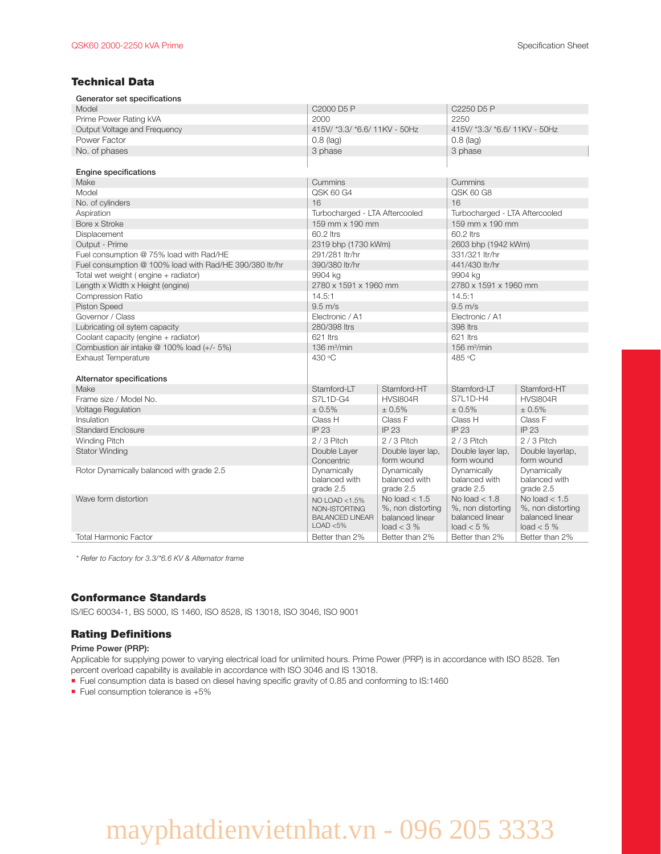## Technical Data

| Generator set specifications                            |                                                                              |                                                                           |                                                                          |                                                                          |  |
|---------------------------------------------------------|------------------------------------------------------------------------------|---------------------------------------------------------------------------|--------------------------------------------------------------------------|--------------------------------------------------------------------------|--|
| Model                                                   | C2000 D5 P                                                                   |                                                                           |                                                                          | C2250 D5 P                                                               |  |
| Prime Power Rating kVA                                  | 2000                                                                         |                                                                           | 2250                                                                     |                                                                          |  |
| Output Voltage and Frequency                            | 415V/ *3.3/ *6.6/ 11KV - 50Hz                                                |                                                                           | 415V/ *3.3/ *6.6/ 11KV - 50Hz                                            |                                                                          |  |
| Power Factor                                            | $0.8$ (lag)                                                                  |                                                                           | $0.8$ (lag)                                                              |                                                                          |  |
| No. of phases                                           | 3 phase                                                                      |                                                                           | 3 phase                                                                  |                                                                          |  |
|                                                         |                                                                              |                                                                           |                                                                          |                                                                          |  |
| Engine specifications                                   |                                                                              |                                                                           |                                                                          |                                                                          |  |
| Make                                                    | Cummins                                                                      |                                                                           | Cummins                                                                  |                                                                          |  |
| Model                                                   | QSK 60 G4                                                                    |                                                                           | QSK 60 G8                                                                |                                                                          |  |
| No. of cylinders                                        | 16                                                                           |                                                                           | 16                                                                       |                                                                          |  |
| Aspiration                                              | Turbocharged - LTA Aftercooled                                               |                                                                           | Turbocharged - LTA Aftercooled                                           |                                                                          |  |
| Bore x Stroke                                           | 159 mm x 190 mm                                                              |                                                                           | 159 mm x 190 mm                                                          |                                                                          |  |
| Displacement                                            | 60.2 ltrs                                                                    |                                                                           | 60.2 ltrs                                                                |                                                                          |  |
| Output - Prime                                          | 2319 bhp (1730 kWm)                                                          |                                                                           | 2603 bhp (1942 kWm)                                                      |                                                                          |  |
| Fuel consumption @ 75% load with Rad/HE                 | 291/281 ltr/hr                                                               |                                                                           | 331/321 ltr/hr                                                           |                                                                          |  |
| Fuel consumption @ 100% load with Rad/HE 390/380 ltr/hr | 390/380 ltr/hr                                                               |                                                                           | 441/430 ltr/hr                                                           |                                                                          |  |
| Total wet weight (engine + radiator)                    | 9904 kg                                                                      |                                                                           | 9904 kg                                                                  |                                                                          |  |
| Length x Width x Height (engine)                        | 2780 x 1591 x 1960 mm                                                        |                                                                           | 2780 x 1591 x 1960 mm                                                    |                                                                          |  |
| Compression Ratio                                       | 14.5:1                                                                       |                                                                           | 14.5:1                                                                   |                                                                          |  |
| <b>Piston Speed</b>                                     | $9.5 \text{ m/s}$                                                            |                                                                           | $9.5 \text{ m/s}$                                                        |                                                                          |  |
| Governor / Class                                        | Electronic / A1                                                              |                                                                           | Electronic / A1                                                          |                                                                          |  |
| Lubricating oil sytem capacity                          | 280/398 ltrs                                                                 |                                                                           | 398 ltrs                                                                 |                                                                          |  |
| Coolant capacity (engine + radiator)                    | 621 ltrs                                                                     |                                                                           | 621 ltrs                                                                 |                                                                          |  |
| Combustion air intake @ 100% load (+/- 5%)              | 136 $m3/min$                                                                 |                                                                           | 156 $m3/min$                                                             |                                                                          |  |
| <b>Exhaust Temperature</b>                              | 430 °C                                                                       |                                                                           | 485 °C                                                                   |                                                                          |  |
|                                                         |                                                                              |                                                                           |                                                                          |                                                                          |  |
| Alternator specifications                               |                                                                              |                                                                           |                                                                          |                                                                          |  |
| Make                                                    | Stamford-LT                                                                  | Stamford-HT                                                               | Stamford-LT                                                              | Stamford-HT                                                              |  |
| Frame size / Model No.                                  | S7L1D-G4                                                                     | HVSI804R                                                                  | S7L1D-H4                                                                 | HVSI804R                                                                 |  |
| <b>Voltage Regulation</b>                               | ± 0.5%                                                                       | ± 0.5%                                                                    | ± 0.5%                                                                   | ± 0.5%                                                                   |  |
| Insulation                                              | Class H                                                                      | Class F                                                                   | Class H                                                                  | Class F                                                                  |  |
| <b>Standard Enclosure</b>                               | IP 23                                                                        | <b>IP 23</b>                                                              | <b>IP 23</b>                                                             | IP 23                                                                    |  |
| Winding Pitch                                           | $2/3$ Pitch                                                                  | $2/3$ Pitch                                                               | $2/3$ Pitch                                                              | $2/3$ Pitch                                                              |  |
| <b>Stator Winding</b>                                   | Double Layer<br>Concentric                                                   | Double layer lap,<br>form wound                                           | Double layer lap,<br>form wound                                          | Double layerlap,<br>form wound                                           |  |
| Rotor Dynamically balanced with grade 2.5               | Dynamically<br>balanced with<br>grade 2.5                                    | Dynamically<br>balanced with<br>grade 2.5                                 | Dynamically<br>balanced with<br>grade 2.5                                | Dynamically<br>balanced with<br>grade 2.5                                |  |
| Wave form distortion                                    | NO LOAD < $1.5\%$<br>NON-ISTORTING<br><b>BALANCED LINEAR</b><br>$LOAD < 5\%$ | No load $< 1.5$<br>%, non distorting<br>balanced linear<br>load $<$ 3 $%$ | No load $<$ 1.8<br>%, non distorting<br>balanced linear<br>load $< 5 \%$ | No load $< 1.5$<br>%, non distorting<br>balanced linear<br>load $< 5 \%$ |  |
| <b>Total Harmonic Factor</b>                            | Better than 2%                                                               | Better than 2%                                                            | Better than 2%                                                           | Better than 2%                                                           |  |

*\* Refer to Factory for 3.3/\*6.6 KV & Alternator frame*

## Conformance Standards

IS/IEC 60034-1, BS 5000, IS 1460, ISO 8528, IS 13018, ISO 3046, ISO 9001

## Rating Definitions

### Prime Power (PRP):

Applicable for supplying power to varying electrical load for unlimited hours. Prime Power (PRP) is in accordance with ISO 8528. Ten percent overload capability is available in accordance with ISO 3046 and IS 13018.

- Fuel consumption data is based on diesel having specific gravity of 0.85 and conforming to IS:1460
- Fuel consumption tolerance is  $+5\%$